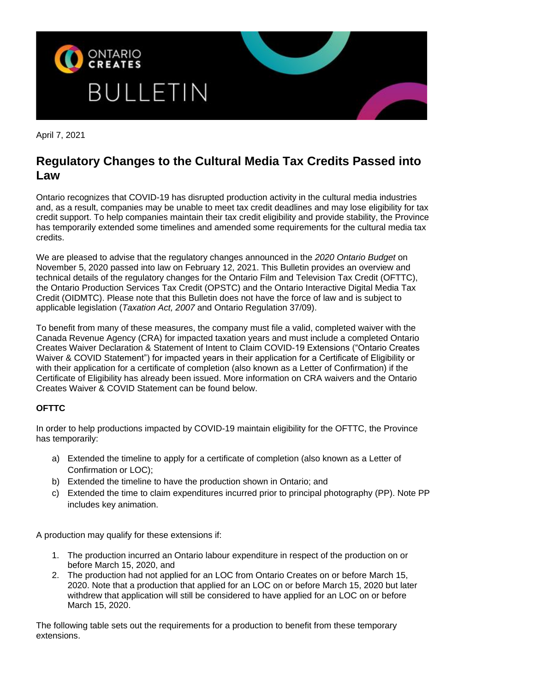

April 7, 2021

## **Regulatory Changes to the Cultural Media Tax Credits Passed into Law**

Ontario recognizes that COVID-19 has disrupted production activity in the cultural media industries and, as a result, companies may be unable to meet tax credit deadlines and may lose eligibility for tax credit support. To help companies maintain their tax credit eligibility and provide stability, the Province has temporarily extended some timelines and amended some requirements for the cultural media tax credits.

We are pleased to advise that the regulatory changes announced in the *2020 Ontario Budget* on November 5, 2020 passed into law on February 12, 2021. This Bulletin provides an overview and technical details of the regulatory changes for the Ontario Film and Television Tax Credit (OFTTC), the Ontario Production Services Tax Credit (OPSTC) and the Ontario Interactive Digital Media Tax Credit (OIDMTC). Please note that this Bulletin does not have the force of law and is subject to applicable legislation (*Taxation Act, 2007* and Ontario Regulation 37/09).

To benefit from many of these measures, the company must file a valid, completed waiver with the Canada Revenue Agency (CRA) for impacted taxation years and must include a completed Ontario Creates Waiver Declaration & Statement of Intent to Claim COVID-19 Extensions ("Ontario Creates Waiver & COVID Statement") for impacted years in their application for a Certificate of Eligibility or with their application for a certificate of completion (also known as a Letter of Confirmation) if the Certificate of Eligibility has already been issued. More information on CRA waivers and the Ontario Creates Waiver & COVID Statement can be found below.

## **OFTTC**

In order to help productions impacted by COVID-19 maintain eligibility for the OFTTC, the Province has temporarily:

- a) Extended the timeline to apply for a certificate of completion (also known as a Letter of Confirmation or LOC);
- b) Extended the timeline to have the production shown in Ontario; and
- c) Extended the time to claim expenditures incurred prior to principal photography (PP). Note PP includes key animation.

A production may qualify for these extensions if:

- 1. The production incurred an Ontario labour expenditure in respect of the production on or before March 15, 2020, and
- 2. The production had not applied for an LOC from Ontario Creates on or before March 15, 2020. Note that a production that applied for an LOC on or before March 15, 2020 but later withdrew that application will still be considered to have applied for an LOC on or before March 15, 2020.

The following table sets out the requirements for a production to benefit from these temporary extensions.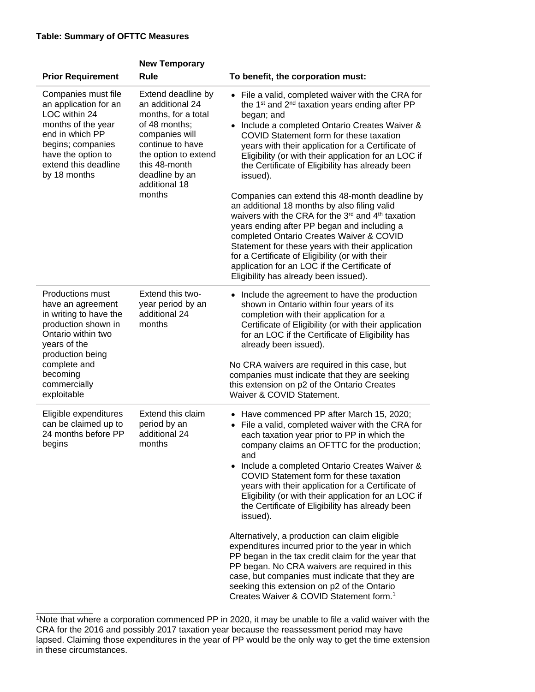\_\_\_\_\_\_\_\_\_\_\_\_\_\_\_

|                                                                                                                                                                                                                    | <b>New Temporary</b>                                                                                                                                                                                       |                                                                                                                                                                                                                                                                                                                                                                                                                                                                                                                                                                                                                                                                                                                                                                                                                                                                      |
|--------------------------------------------------------------------------------------------------------------------------------------------------------------------------------------------------------------------|------------------------------------------------------------------------------------------------------------------------------------------------------------------------------------------------------------|----------------------------------------------------------------------------------------------------------------------------------------------------------------------------------------------------------------------------------------------------------------------------------------------------------------------------------------------------------------------------------------------------------------------------------------------------------------------------------------------------------------------------------------------------------------------------------------------------------------------------------------------------------------------------------------------------------------------------------------------------------------------------------------------------------------------------------------------------------------------|
| <b>Prior Requirement</b>                                                                                                                                                                                           | <b>Rule</b>                                                                                                                                                                                                | To benefit, the corporation must:                                                                                                                                                                                                                                                                                                                                                                                                                                                                                                                                                                                                                                                                                                                                                                                                                                    |
| Companies must file<br>an application for an<br>LOC within 24<br>months of the year<br>end in which PP<br>begins; companies<br>have the option to<br>extend this deadline<br>by 18 months                          | Extend deadline by<br>an additional 24<br>months, for a total<br>of 48 months;<br>companies will<br>continue to have<br>the option to extend<br>this 48-month<br>deadline by an<br>additional 18<br>months | • File a valid, completed waiver with the CRA for<br>the 1 <sup>st</sup> and 2 <sup>nd</sup> taxation years ending after PP<br>began; and<br>• Include a completed Ontario Creates Waiver &<br>COVID Statement form for these taxation<br>years with their application for a Certificate of<br>Eligibility (or with their application for an LOC if<br>the Certificate of Eligibility has already been<br>issued).<br>Companies can extend this 48-month deadline by<br>an additional 18 months by also filing valid<br>waivers with the CRA for the 3rd and 4th taxation<br>years ending after PP began and including a<br>completed Ontario Creates Waiver & COVID<br>Statement for these years with their application<br>for a Certificate of Eligibility (or with their<br>application for an LOC if the Certificate of<br>Eligibility has already been issued). |
| <b>Productions must</b><br>have an agreement<br>in writing to have the<br>production shown in<br>Ontario within two<br>years of the<br>production being<br>complete and<br>becoming<br>commercially<br>exploitable | Extend this two-<br>year period by an<br>additional 24<br>months                                                                                                                                           | • Include the agreement to have the production<br>shown in Ontario within four years of its<br>completion with their application for a<br>Certificate of Eligibility (or with their application<br>for an LOC if the Certificate of Eligibility has<br>already been issued).<br>No CRA waivers are required in this case, but<br>companies must indicate that they are seeking<br>this extension on p2 of the Ontario Creates<br>Waiver & COVID Statement.                                                                                                                                                                                                                                                                                                                                                                                                           |
| Eligible expenditures<br>can be claimed up to<br>24 months before PP<br>begins                                                                                                                                     | Extend this claim<br>period by an<br>additional 24<br>months                                                                                                                                               | • Have commenced PP after March 15, 2020;<br>• File a valid, completed waiver with the CRA for<br>each taxation year prior to PP in which the<br>company claims an OFTTC for the production;<br>and<br>• Include a completed Ontario Creates Waiver &<br>COVID Statement form for these taxation<br>years with their application for a Certificate of<br>Eligibility (or with their application for an LOC if<br>the Certificate of Eligibility has already been<br>issued).<br>Alternatively, a production can claim eligible<br>expenditures incurred prior to the year in which<br>PP began in the tax credit claim for the year that<br>PP began. No CRA waivers are required in this<br>case, but companies must indicate that they are<br>seeking this extension on p2 of the Ontario<br>Creates Waiver & COVID Statement form. <sup>1</sup>                   |

<sup>1</sup>Note that where a corporation commenced PP in 2020, it may be unable to file a valid waiver with the CRA for the 2016 and possibly 2017 taxation year because the reassessment period may have lapsed. Claiming those expenditures in the year of PP would be the only way to get the time extension in these circumstances.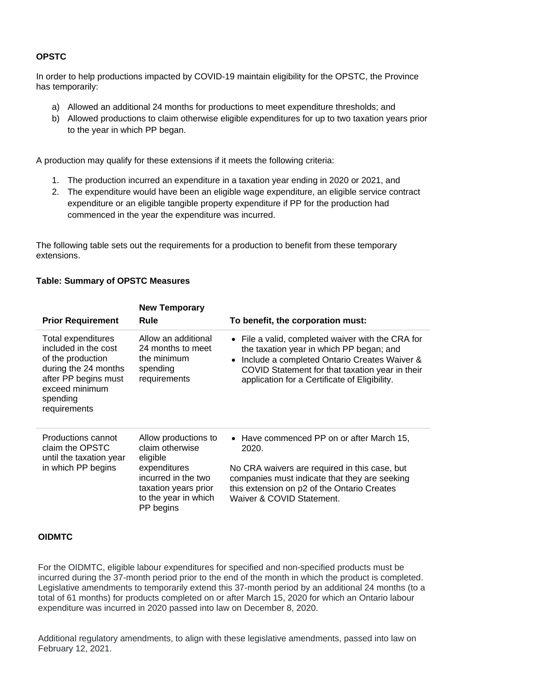## **OPSTC**

In order to help productions impacted by COVID-19 maintain eligibility for the OPSTC, the Province has temporarily:

- a) Allowed an additional 24 months for productions to meet expenditure thresholds; and
- b) Allowed productions to claim otherwise eligible expenditures for up to two taxation years prior to the year in which PP began.

A production may qualify for these extensions if it meets the following criteria:

- 1. The production incurred an expenditure in a taxation year ending in 2020 or 2021, and
- 2. The expenditure would have been an eligible wage expenditure, an eligible service contract expenditure or an eligible tangible property expenditure if PP for the production had commenced in the year the expenditure was incurred.

The following table sets out the requirements for a production to benefit from these temporary extensions.

## **Table: Summary of OPSTC Measures**

| <b>Prior Requirement</b>                                                                                                                                      | <b>New Temporary</b><br>Rule                                                                     | To benefit, the corporation must:                                                                                                                                                                                                                 |
|---------------------------------------------------------------------------------------------------------------------------------------------------------------|--------------------------------------------------------------------------------------------------|---------------------------------------------------------------------------------------------------------------------------------------------------------------------------------------------------------------------------------------------------|
| Total expenditures<br>included in the cost<br>of the production<br>during the 24 months<br>after PP begins must<br>exceed minimum<br>spending<br>requirements | Allow an additional<br>24 months to meet<br>the minimum<br>spending<br>requirements              | • File a valid, completed waiver with the CRA for<br>the taxation year in which PP began; and<br>Include a completed Ontario Creates Waiver &<br>COVID Statement for that taxation year in their<br>application for a Certificate of Eligibility. |
| Productions cannot<br>claim the OPSTC<br>until the taxation year                                                                                              | Allow productions to<br>claim otherwise<br>eligible                                              | • Have commenced PP on or after March 15,<br>2020.                                                                                                                                                                                                |
| in which PP begins                                                                                                                                            | expenditures<br>incurred in the two<br>taxation years prior<br>to the year in which<br>PP begins | No CRA waivers are required in this case, but<br>companies must indicate that they are seeking<br>this extension on p2 of the Ontario Creates<br>Waiver & COVID Statement.                                                                        |

### **OIDMTC**

For the OIDMTC, eligible labour expenditures for specified and non-specified products must be incurred during the 37-month period prior to the end of the month in which the product is completed. Legislative amendments to temporarily extend this 37-month period by an additional 24 months (to a total of 61 months) for products completed on or after March 15, 2020 for which an Ontario labour expenditure was incurred in 2020 passed into law on December 8, 2020.

Additional regulatory amendments, to align with these legislative amendments, passed into law on February 12, 2021.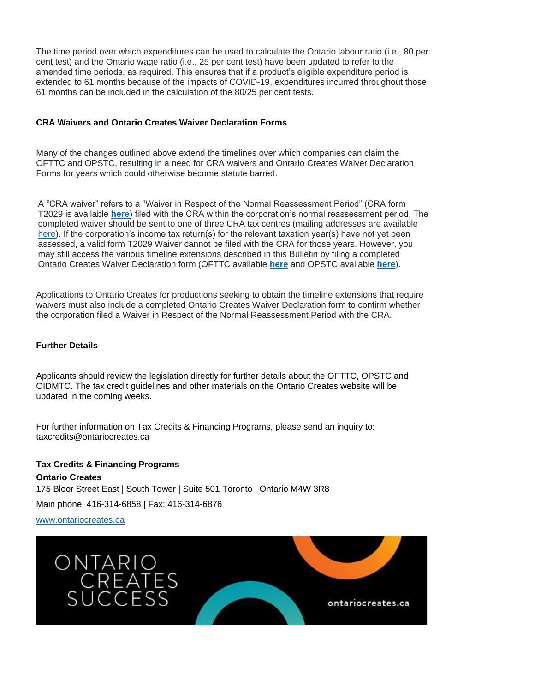The time period over which expenditures can be used to calculate the Ontario labour ratio (i.e., 80 per cent test) and the Ontario wage ratio (i.e., 25 per cent test) have been updated to refer to the amended time periods, as required. This ensures that if a product's eligible expenditure period is extended to 61 months because of the impacts of COVID-19, expenditures incurred throughout those 61 months can be included in the calculation of the 80/25 per cent tests.

## **CRA Waivers and Ontario Creates Waiver Declaration Forms**

Many of the changes outlined above extend the timelines over which companies can claim the OFTTC and OPSTC, resulting in a need for CRA waivers and Ontario Creates Waiver Declaration Forms for years which could otherwise become statute barred.

A "CRA waiver" refers to a "Waiver in Respect of the Normal Reassessment Period" (CRA form T2029 is available **[here](https://www.canada.ca/en/revenue-agency/services/forms-publications/forms/t2029.html)**) filed with the CRA within the corporation's normal reassessment period. The completed waiver should be sent to one of three CRA tax centres (mailing addresses are available [here\)](https://www.canada.ca/en/revenue-agency/corporate/contact-information/where-send-your-corporation-income-tax-t2-return.html). If the corporation's income tax return(s) for the relevant taxation year(s) have not yet been assessed, a valid form T2029 Waiver cannot be filed with the CRA for those years. However, you may still access the various timeline extensions described in this Bulletin by filing a completed Ontario Creates Waiver Declaration form (OFTTC available **[here](https://ontariocreates.ca/uploads/Tax_Credits/ENG/OFTTC/OFTTC-Ontario-Creates-Waiver-COVID-Statement.pdf)** and OPSTC available **[here](https://ontariocreates.ca/uploads/Tax_Credits/ENG/OPSTC/OPSTC-Ontario-Creates-Waiver-Declaration-combined.pdf)**).

Applications to Ontario Creates for productions seeking to obtain the timeline extensions that require waivers must also include a completed Ontario Creates Waiver Declaration form to confirm whether the corporation filed a Waiver in Respect of the Normal Reassessment Period with the CRA.

## **Further Details**

Applicants should review the legislation directly for further details about the OFTTC, OPSTC and OIDMTC. The tax credit guidelines and other materials on the Ontario Creates website will be updated in the coming weeks.

For further information on Tax Credits & Financing Programs, please send an inquiry to: taxcredits@ontariocreates.ca

**Tax Credits & Financing Programs Ontario Creates**  175 Bloor Street East | South Tower | Suite 501 Toronto | Ontario M4W 3R8 Main phone: 416-314-6858 | Fax: 416-314-6876

[www.ontariocreates.ca](http://www.ontariocreates.ca/)

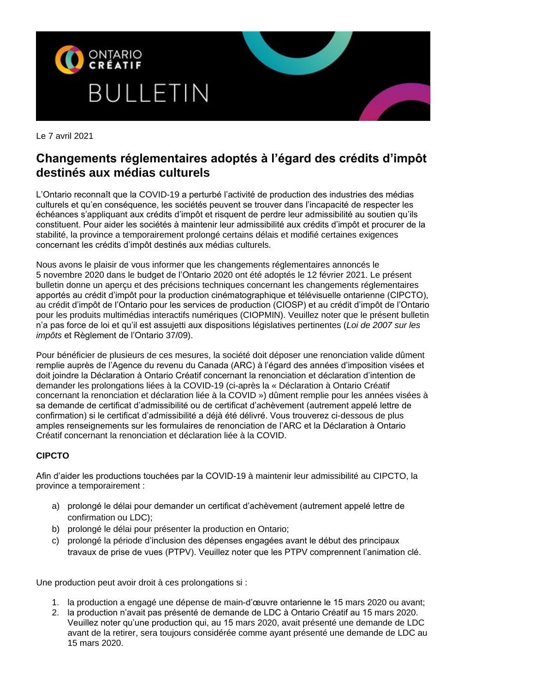

Le 7 avril 2021

# **Changements réglementaires adoptés à l'égard des crédits d'impôt destinés aux médias culturels**

L'Ontario reconnaît que la COVID-19 a perturbé l'activité de production des industries des médias culturels et qu'en conséquence, les sociétés peuvent se trouver dans l'incapacité de respecter les échéances s'appliquant aux crédits d'impôt et risquent de perdre leur admissibilité au soutien qu'ils constituent. Pour aider les sociétés à maintenir leur admissibilité aux crédits d'impôt et procurer de la stabilité, la province a temporairement prolongé certains délais et modifié certaines exigences concernant les crédits d'impôt destinés aux médias culturels.

Nous avons le plaisir de vous informer que les changements réglementaires annoncés le 5 novembre 2020 dans le budget de l'Ontario 2020 ont été adoptés le 12 février 2021. Le présent bulletin donne un aperçu et des précisions techniques concernant les changements réglementaires apportés au crédit d'impôt pour la production cinématographique et télévisuelle ontarienne (CIPCTO), au crédit d'impôt de l'Ontario pour les services de production (CIOSP) et au crédit d'impôt de l'Ontario pour les produits multimédias interactifs numériques (CIOPMIN). Veuillez noter que le présent bulletin n'a pas force de loi et qu'il est assujetti aux dispositions législatives pertinentes (*Loi de 2007 sur les impôts* et Règlement de l'Ontario 37/09).

Pour bénéficier de plusieurs de ces mesures, la société doit déposer une renonciation valide dûment remplie auprès de l'Agence du revenu du Canada (ARC) à l'égard des années d'imposition visées et doit joindre la Déclaration à Ontario Créatif concernant la renonciation et déclaration d'intention de demander les prolongations liées à la COVID-19 (ci-après la « Déclaration à Ontario Créatif concernant la renonciation et déclaration liée à la COVID ») dûment remplie pour les années visées à sa demande de certificat d'admissibilité ou de certificat d'achèvement (autrement appelé lettre de confirmation) si le certificat d'admissibilité a déjà été délivré. Vous trouverez ci-dessous de plus amples renseignements sur les formulaires de renonciation de l'ARC et la Déclaration à Ontario Créatif concernant la renonciation et déclaration liée à la COVID.

## **CIPCTO**

Afin d'aider les productions touchées par la COVID-19 à maintenir leur admissibilité au CIPCTO, la province a temporairement :

- a) prolongé le délai pour demander un certificat d'achèvement (autrement appelé lettre de confirmation ou LDC);
- b) prolongé le délai pour présenter la production en Ontario;
- c) prolongé la période d'inclusion des dépenses engagées avant le début des principaux travaux de prise de vues (PTPV). Veuillez noter que les PTPV comprennent l'animation clé.

Une production peut avoir droit à ces prolongations si :

- 1. la production a engagé une dépense de main-d'œuvre ontarienne le 15 mars 2020 ou avant;
- 2. la production n'avait pas présenté de demande de LDC à Ontario Créatif au 15 mars 2020. Veuillez noter qu'une production qui, au 15 mars 2020, avait présenté une demande de LDC avant de la retirer, sera toujours considérée comme ayant présenté une demande de LDC au 15 mars 2020.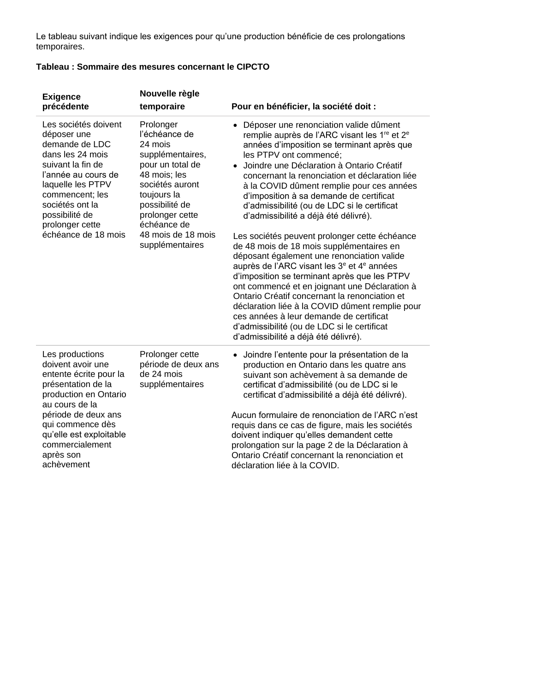Le tableau suivant indique les exigences pour qu'une production bénéficie de ces prolongations temporaires.

## **Tableau : Sommaire des mesures concernant le CIPCTO**

| <b>Exigence</b><br>précédente                                                                                                                                                                                                                       | Nouvelle règle<br>temporaire                                                                                                                                                                                                 | Pour en bénéficier, la société doit :                                                                                                                                                                                                                                                                                                                                                                                                                                                                                                                                                                                                                                                                                                                                                                                                                                                                                                                                                                                        |
|-----------------------------------------------------------------------------------------------------------------------------------------------------------------------------------------------------------------------------------------------------|------------------------------------------------------------------------------------------------------------------------------------------------------------------------------------------------------------------------------|------------------------------------------------------------------------------------------------------------------------------------------------------------------------------------------------------------------------------------------------------------------------------------------------------------------------------------------------------------------------------------------------------------------------------------------------------------------------------------------------------------------------------------------------------------------------------------------------------------------------------------------------------------------------------------------------------------------------------------------------------------------------------------------------------------------------------------------------------------------------------------------------------------------------------------------------------------------------------------------------------------------------------|
| Les sociétés doivent<br>déposer une<br>demande de LDC<br>dans les 24 mois<br>suivant la fin de<br>l'année au cours de<br>laquelle les PTPV<br>commencent; les<br>sociétés ont la<br>possibilité de<br>prolonger cette<br>échéance de 18 mois        | Prolonger<br>l'échéance de<br>24 mois<br>supplémentaires,<br>pour un total de<br>48 mois; les<br>sociétés auront<br>toujours la<br>possibilité de<br>prolonger cette<br>échéance de<br>48 mois de 18 mois<br>supplémentaires | Déposer une renonciation valide dûment<br>remplie auprès de l'ARC visant les 1 <sup>re</sup> et 2 <sup>e</sup><br>années d'imposition se terminant après que<br>les PTPV ont commencé;<br>Joindre une Déclaration à Ontario Créatif<br>concernant la renonciation et déclaration liée<br>à la COVID dûment remplie pour ces années<br>d'imposition à sa demande de certificat<br>d'admissibilité (ou de LDC si le certificat<br>d'admissibilité a déjà été délivré).<br>Les sociétés peuvent prolonger cette échéance<br>de 48 mois de 18 mois supplémentaires en<br>déposant également une renonciation valide<br>auprès de l'ARC visant les 3 <sup>e</sup> et 4 <sup>e</sup> années<br>d'imposition se terminant après que les PTPV<br>ont commencé et en joignant une Déclaration à<br>Ontario Créatif concernant la renonciation et<br>déclaration liée à la COVID dûment remplie pour<br>ces années à leur demande de certificat<br>d'admissibilité (ou de LDC si le certificat<br>d'admissibilité a déjà été délivré). |
| Les productions<br>doivent avoir une<br>entente écrite pour la<br>présentation de la<br>production en Ontario<br>au cours de la<br>période de deux ans<br>qui commence dès<br>qu'elle est exploitable<br>commercialement<br>après son<br>achèvement | Prolonger cette<br>période de deux ans<br>de 24 mois<br>supplémentaires                                                                                                                                                      | Joindre l'entente pour la présentation de la<br>$\bullet$<br>production en Ontario dans les quatre ans<br>suivant son achèvement à sa demande de<br>certificat d'admissibilité (ou de LDC si le<br>certificat d'admissibilité a déjà été délivré).<br>Aucun formulaire de renonciation de l'ARC n'est<br>requis dans ce cas de figure, mais les sociétés<br>doivent indiquer qu'elles demandent cette<br>prolongation sur la page 2 de la Déclaration à<br>Ontario Créatif concernant la renonciation et<br>déclaration liée à la COVID.                                                                                                                                                                                                                                                                                                                                                                                                                                                                                     |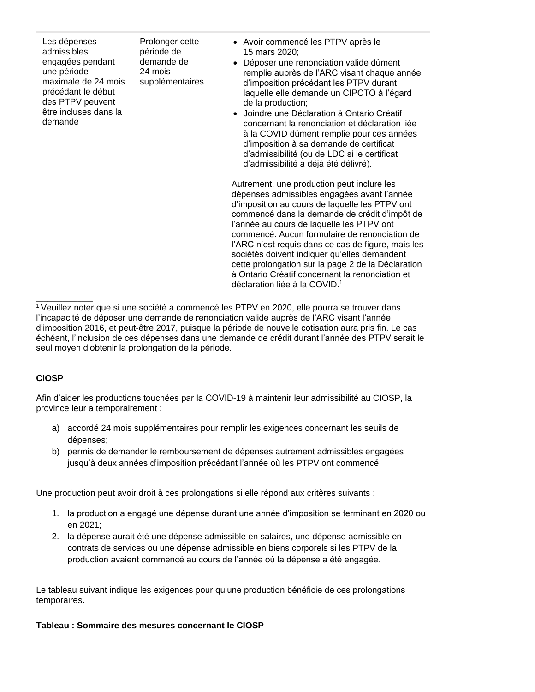| Les dépenses<br>admissibles<br>engagées pendant<br>une période<br>maximale de 24 mois<br>précédant le début<br>des PTPV peuvent<br>être incluses dans la<br>demande | Prolonger cette<br>période de<br>demande de<br>24 mois<br>supplémentaires | • Avoir commencé les PTPV après le<br>15 mars 2020;<br>• Déposer une renonciation valide dûment<br>remplie auprès de l'ARC visant chaque année<br>d'imposition précédant les PTPV durant<br>laquelle elle demande un CIPCTO à l'égard<br>de la production;<br>• Joindre une Déclaration à Ontario Créatif<br>concernant la renonciation et déclaration liée<br>à la COVID dûment remplie pour ces années<br>d'imposition à sa demande de certificat<br>d'admissibilité (ou de LDC si le certificat<br>d'admissibilité a déjà été délivré). |
|---------------------------------------------------------------------------------------------------------------------------------------------------------------------|---------------------------------------------------------------------------|--------------------------------------------------------------------------------------------------------------------------------------------------------------------------------------------------------------------------------------------------------------------------------------------------------------------------------------------------------------------------------------------------------------------------------------------------------------------------------------------------------------------------------------------|
|                                                                                                                                                                     |                                                                           | Autrement, une production peut inclure les<br>dépenses admissibles engagées avant l'année<br>d'imposition au cours de laquelle les PTPV ont<br>commencé dans la demande de crédit d'impôt de                                                                                                                                                                                                                                                                                                                                               |

commencé dans la demande de crédit d'impôt de l'année au cours de laquelle les PTPV ont commencé. Aucun formulaire de renonciation de l'ARC n'est requis dans ce cas de figure, mais les sociétés doivent indiquer qu'elles demandent cette prolongation sur la page 2 de la Déclaration à Ontario Créatif concernant la renonciation et déclaration liée à la COVID.<sup>1</sup>

## **CIOSP**

Afin d'aider les productions touchées par la COVID-19 à maintenir leur admissibilité au CIOSP, la province leur a temporairement :

- a) accordé 24 mois supplémentaires pour remplir les exigences concernant les seuils de dépenses;
- b) permis de demander le remboursement de dépenses autrement admissibles engagées jusqu'à deux années d'imposition précédant l'année où les PTPV ont commencé.

Une production peut avoir droit à ces prolongations si elle répond aux critères suivants :

- 1. la production a engagé une dépense durant une année d'imposition se terminant en 2020 ou en 2021;
- 2. la dépense aurait été une dépense admissible en salaires, une dépense admissible en contrats de services ou une dépense admissible en biens corporels si les PTPV de la production avaient commencé au cours de l'année où la dépense a été engagée.

Le tableau suivant indique les exigences pour qu'une production bénéficie de ces prolongations temporaires.

## **Tableau : Sommaire des mesures concernant le CIOSP**

\_\_\_\_\_\_\_\_\_\_\_\_\_\_\_ <sup>1</sup> Veuillez noter que si une société a commencé les PTPV en 2020, elle pourra se trouver dans l'incapacité de déposer une demande de renonciation valide auprès de l'ARC visant l'année d'imposition 2016, et peut-être 2017, puisque la période de nouvelle cotisation aura pris fin. Le cas échéant, l'inclusion de ces dépenses dans une demande de crédit durant l'année des PTPV serait le seul moyen d'obtenir la prolongation de la période.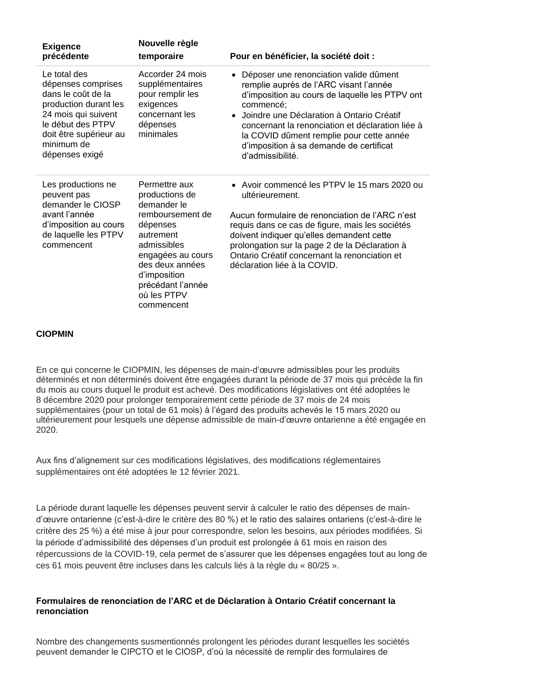| <b>Exigence</b><br>précédente                                                                                                                                                           | Nouvelle règle<br>temporaire                                                                                                                                                                                         | Pour en bénéficier, la société doit :                                                                                                                                                                                                                                                                                                                         |
|-----------------------------------------------------------------------------------------------------------------------------------------------------------------------------------------|----------------------------------------------------------------------------------------------------------------------------------------------------------------------------------------------------------------------|---------------------------------------------------------------------------------------------------------------------------------------------------------------------------------------------------------------------------------------------------------------------------------------------------------------------------------------------------------------|
| Le total des<br>dépenses comprises<br>dans le coût de la<br>production durant les<br>24 mois qui suivent<br>le début des PTPV<br>doit être supérieur au<br>minimum de<br>dépenses exigé | Accorder 24 mois<br>supplémentaires<br>pour remplir les<br>exigences<br>concernant les<br>dépenses<br>minimales                                                                                                      | Déposer une renonciation valide dûment<br>remplie auprès de l'ARC visant l'année<br>d'imposition au cours de laquelle les PTPV ont<br>commencé;<br>• Joindre une Déclaration à Ontario Créatif<br>concernant la renonciation et déclaration liée à<br>la COVID dûment remplie pour cette année<br>d'imposition à sa demande de certificat<br>d'admissibilité. |
| Les productions ne<br>peuvent pas<br>demander le CIOSP<br>avant l'année<br>d'imposition au cours<br>de laquelle les PTPV<br>commencent                                                  | Permettre aux<br>productions de<br>demander le<br>remboursement de<br>dépenses<br>autrement<br>admissibles<br>engagées au cours<br>des deux années<br>d'imposition<br>précédant l'année<br>où les PTPV<br>commencent | • Avoir commencé les PTPV le 15 mars 2020 ou<br>ultérieurement.<br>Aucun formulaire de renonciation de l'ARC n'est<br>requis dans ce cas de figure, mais les sociétés<br>doivent indiquer qu'elles demandent cette<br>prolongation sur la page 2 de la Déclaration à<br>Ontario Créatif concernant la renonciation et<br>déclaration liée à la COVID.         |

## **CIOPMIN**

En ce qui concerne le CIOPMIN, les dépenses de main-d'œuvre admissibles pour les produits déterminés et non déterminés doivent être engagées durant la période de 37 mois qui précède la fin du mois au cours duquel le produit est achevé. Des modifications législatives ont été adoptées le 8 décembre 2020 pour prolonger temporairement cette période de 37 mois de 24 mois supplémentaires (pour un total de 61 mois) à l'égard des produits achevés le 15 mars 2020 ou ultérieurement pour lesquels une dépense admissible de main-d'œuvre ontarienne a été engagée en 2020.

Aux fins d'alignement sur ces modifications législatives, des modifications réglementaires supplémentaires ont été adoptées le 12 février 2021.

La période durant laquelle les dépenses peuvent servir à calculer le ratio des dépenses de maind'œuvre ontarienne (c'est-à-dire le critère des 80 %) et le ratio des salaires ontariens (c'est-à-dire le critère des 25 %) a été mise à jour pour correspondre, selon les besoins, aux périodes modifiées. Si la période d'admissibilité des dépenses d'un produit est prolongée à 61 mois en raison des répercussions de la COVID-19, cela permet de s'assurer que les dépenses engagées tout au long de ces 61 mois peuvent être incluses dans les calculs liés à la règle du « 80/25 ».

## **Formulaires de renonciation de l'ARC et de Déclaration à Ontario Créatif concernant la renonciation**

Nombre des changements susmentionnés prolongent les périodes durant lesquelles les sociétés peuvent demander le CIPCTO et le CIOSP, d'où la nécessité de remplir des formulaires de